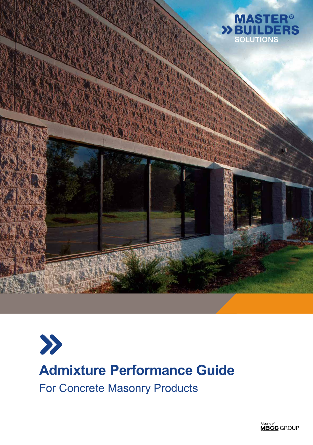



A brand of<br>**MBCC** GROUP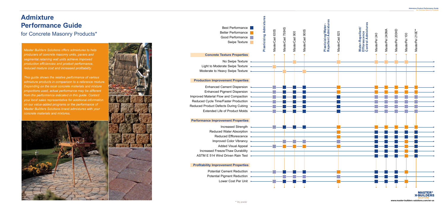*Master Builders Solutions offers admixtures to help producers of concrete masonry units, pavers and segmental retaining wall units achieve improved production efficiencies and product performance, reduced mixture cost and increased profitability.* 

*This guide shows the relative performance of various admixture products in comparison to a reference mixture. Depending on the local concrete materials and mixture proportions used, actual performance may be different from the performance indicated in this guide. Contact your local sales representative for additional information on our value-added programs or the performance of Master Builders Solutions brand admixtures with your concrete materials and mixtures.*





Best Performance Better Performance Good Performance

# **Admixture Performance Guide**

for Concrete Masonry Products\*

#### **Profitability Improvement Properties**

Potential Cement Reduction Potential Pigment Reduction Lower Cost Per Unit

### **Production Improvement Properties**

Enhanced Cement Dispersion Enhanced Pigment Dispersion • Improved Material Flow and Compaction Reduced Cycle Time/Faster Production Reduced Product Defects During Cubing Extended Life of Product Molds

#### **Concrete Texture Properties**

No Swipe Texture Light to Moderate Swipe Texture Moderate to Heavy Swipe Texture

#### **Performance Improvement Properties**



**MASTER >>BUILDERS** \*\* Dry powder **www.master-builders-solutions.com/en-us** 

Increased Strength Reduced Water Absorption Reduced Efflorescence Improved Color Vibrancy • Added Visual Appeal Increased Freeze/Thaw Durability ASTM E 514 Wind Driven Rain Test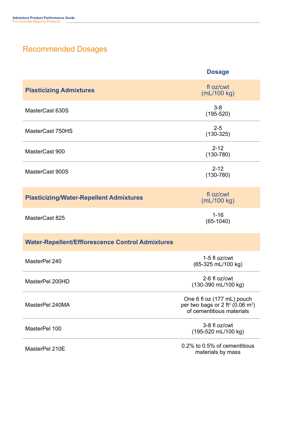## Recommended Dosages

|                                                         | <b>Dosage</b>                                                                                                       |
|---------------------------------------------------------|---------------------------------------------------------------------------------------------------------------------|
| <b>Plasticizing Admixtures</b>                          | fl oz/cwt<br>$mL/100$ kg)                                                                                           |
| MasterCast 630S                                         | $3 - 8$<br>$(195 - 520)$                                                                                            |
| MasterCast 750HS                                        | $2 - 5$<br>$(130-325)$                                                                                              |
| MasterCast 900                                          | $2 - 12$<br>$(130 - 780)$                                                                                           |
| MasterCast 900S                                         | $2 - 12$<br>$(130 - 780)$                                                                                           |
| <b>Plasticizing/Water-Repellent Admixtures</b>          | fl oz/cwt<br>(mL/100 kg)                                                                                            |
| MasterCast 825                                          | $1 - 16$<br>$(65-1040)$                                                                                             |
| <b>Water-Repellent/Efflorescence Control Admixtures</b> |                                                                                                                     |
| MasterPel 240                                           | 1-5 fl oz/cwt<br>(65-325 mL/100 kg)                                                                                 |
| MasterPel 200HD                                         | 2-6 fl oz/cwt<br>(130-390 mL/100 kg)                                                                                |
| MasterPel 240MA                                         | One 6 fl oz (177 mL) pouch<br>per two bags or 2 ft <sup>3</sup> (0.06 m <sup>3</sup> )<br>of cementitious materials |
| MasterPel 100                                           | 3-8 fl oz/cwt<br>(195-520 mL/100 kg)                                                                                |
| MasterPel 210E                                          | 0.2% to 0.5% of cementitious<br>materials by mass                                                                   |